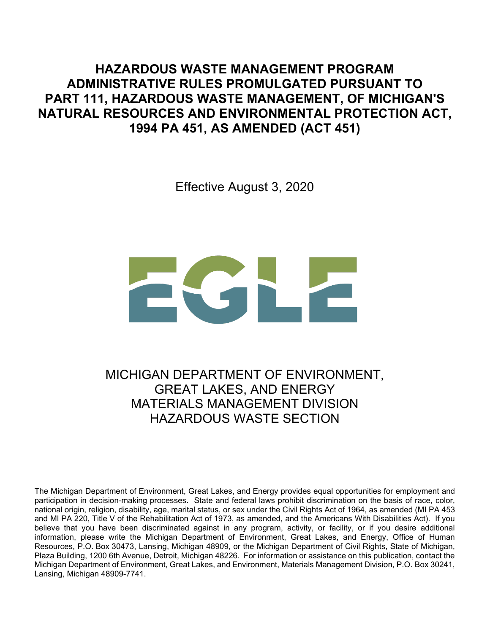**HAZARDOUS WASTE MANAGEMENT PROGRAM ADMINISTRATIVE RULES PROMULGATED PURSUANT TO PART 111, HAZARDOUS WASTE MANAGEMENT, OF MICHIGAN'S NATURAL RESOURCES AND ENVIRONMENTAL PROTECTION ACT, 1994 PA 451, AS AMENDED (ACT 451)**

Effective August 3, 2020

MICHIGAN DEPARTMENT OF ENVIRONMENT, GREAT LAKES, AND ENERGY MATERIALS MANAGEMENT DIVISION HAZARDOUS WASTE SECTION

The Michigan Department of Environment, Great Lakes, and Energy provides equal opportunities for employment and participation in decision-making processes. State and federal laws prohibit discrimination on the basis of race, color, national origin, religion, disability, age, marital status, or sex under the Civil Rights Act of 1964, as amended (MI PA 453 and MI PA 220, Title V of the Rehabilitation Act of 1973, as amended, and the Americans With Disabilities Act). If you believe that you have been discriminated against in any program, activity, or facility, or if you desire additional information, please write the Michigan Department of Environment, Great Lakes, and Energy, Office of Human Resources, P.O. Box 30473, Lansing, Michigan 48909, or the Michigan Department of Civil Rights, State of Michigan, Plaza Building, 1200 6th Avenue, Detroit, Michigan 48226. For information or assistance on this publication, contact the Michigan Department of Environment, Great Lakes, and Environment, Materials Management Division, P.O. Box 30241, Lansing, Michigan 48909-7741.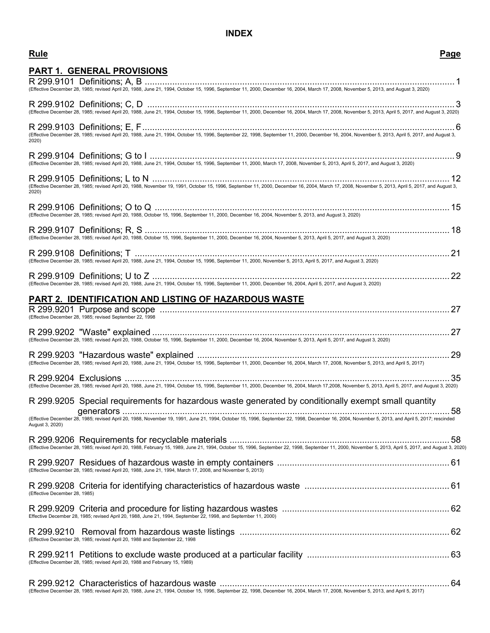## **INDEX**

### **Rule Page**

| <u>PART 1. GENERAL PROVISIONS</u>                                                                                                                                                                  |  |
|----------------------------------------------------------------------------------------------------------------------------------------------------------------------------------------------------|--|
|                                                                                                                                                                                                    |  |
|                                                                                                                                                                                                    |  |
| (Effective December 28, 1985; revised April 20, 1988, June 21, 1994, October 15, 1996, September 11, 2000, December 16, 2004, March 17, 2008, November 5, 2013, April 5, 2017, and August 3, 2020) |  |
|                                                                                                                                                                                                    |  |
| 2020)                                                                                                                                                                                              |  |
|                                                                                                                                                                                                    |  |
|                                                                                                                                                                                                    |  |
| 2020)                                                                                                                                                                                              |  |
|                                                                                                                                                                                                    |  |
| (Effective December 28, 1985; revised April 20, 1988, October 15, 1996, September 11, 2000, December 16, 2004, November 5, 2013, and August 3, 2020)                                               |  |
|                                                                                                                                                                                                    |  |
|                                                                                                                                                                                                    |  |
| (Effective December 28, 1985; revised April 20, 1988, June 21, 1994, October 15, 1996, September 11, 2000, November 5, 2013, April 5, 2017, and August 3, 2020)                                    |  |
|                                                                                                                                                                                                    |  |
| (Effective December 28, 1985; revised April 20, 1988, June 21, 1994, October 15, 1996, September 11, 2000, December 16, 2004, April 5, 2017, and August 3, 2020)                                   |  |
| PART 2. IDENTIFICATION AND LISTING OF HAZARDOUS WASTE                                                                                                                                              |  |
|                                                                                                                                                                                                    |  |
| (Effective December 28, 1985; revised September 22, 1998                                                                                                                                           |  |
| (Effective December 28, 1985; revised April 20, 1988, October 15, 1996, September 11, 2000, December 16, 2004, November 5, 2013, April 5, 2017, and August 3, 2020)                                |  |
|                                                                                                                                                                                                    |  |
| (Effective December 28, 1985; revised April 20, 1988, June 21, 1994, October 15, 1996, September 11, 2000, December 16, 2004, March 17, 2008, November 5, 2013, and April 5, 2017)                 |  |
|                                                                                                                                                                                                    |  |
| (Effective December 28, 1985; revised April 20, 1988, June 21, 1994, October 15, 1996, September 11, 2000, December 16, 2004, March 17,2008, November 5, 2013, April 5, 2017, and August 3, 2020)  |  |
| R 299.9205 Special requirements for hazardous waste generated by conditionally exempt small quantity                                                                                               |  |
|                                                                                                                                                                                                    |  |
| August 3, 2020)                                                                                                                                                                                    |  |
|                                                                                                                                                                                                    |  |
|                                                                                                                                                                                                    |  |
| (Effective December 28, 1985; revised April 20, 1988, June 21, 1994, March 17, 2008, and November 5, 2013)                                                                                         |  |
| (Effective December 28, 1985)                                                                                                                                                                      |  |
|                                                                                                                                                                                                    |  |
| Effective December 28, 1985; revised April 20, 1988, June 21, 1994, September 22, 1998, and September 11, 2000)                                                                                    |  |
|                                                                                                                                                                                                    |  |
| (Effective December 28, 1985; revised April 20, 1988 and September 22, 1998                                                                                                                        |  |
| (Effective December 28, 1985; revised April 20, 1988 and February 15, 1989)                                                                                                                        |  |
|                                                                                                                                                                                                    |  |
|                                                                                                                                                                                                    |  |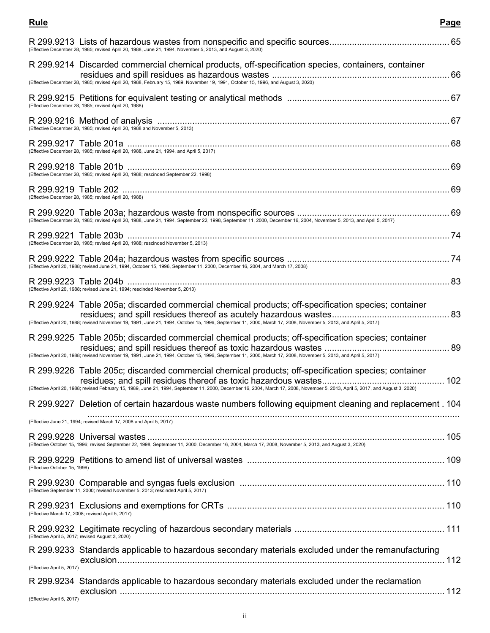| (Effective December 28, 1985; revised April 20, 1988, June 21, 1994, November 5, 2013, and August 3, 2020)                                                                                                                                                                              |  |
|-----------------------------------------------------------------------------------------------------------------------------------------------------------------------------------------------------------------------------------------------------------------------------------------|--|
| R 299.9214 Discarded commercial chemical products, off-specification species, containers, container<br>(Effective December 28, 1985; revised April 20, 1988, February 15, 1989, November 19, 1991, October 15, 1996, and August 3, 2020)                                                |  |
| (Effective December 28, 1985; revised April 20, 1988)                                                                                                                                                                                                                                   |  |
| (Effective December 28, 1985; revised April 20, 1988 and November 5, 2013)                                                                                                                                                                                                              |  |
| (Effective December 28, 1985; revised April 20, 1988, June 21, 1994, and April 5, 2017)                                                                                                                                                                                                 |  |
| (Effective December 28, 1985; revised April 20, 1988; rescinded September 22, 1998)                                                                                                                                                                                                     |  |
| (Effective December 28, 1985; revised April 20, 1988)                                                                                                                                                                                                                                   |  |
| (Effective December 28, 1985; revised April 20, 1988, June 21, 1994, September 22, 1998, September 11, 2000, December 16, 2004, November 5, 2013, and April 5, 2017)                                                                                                                    |  |
| (Effective December 28, 1985; revised April 20, 1988; rescinded November 5, 2013)                                                                                                                                                                                                       |  |
| (Effective April 20, 1988; revised June 21, 1994, October 15, 1996, September 11, 2000, December 16, 2004, and March 17, 2008)                                                                                                                                                          |  |
| (Effective April 20, 1988; revised June 21, 1994; rescinded November 5, 2013)                                                                                                                                                                                                           |  |
| R 299.9224 Table 205a; discarded commercial chemical products; off-specification species; container<br>(Effective April 20, 1988; revised November 19, 1991, June 21, 1994, October 15, 1996, September 11, 2000, March 17, 2008, November 5, 2013, and April 5, 2017)                  |  |
|                                                                                                                                                                                                                                                                                         |  |
| R 299.9225 Table 205b; discarded commercial chemical products; off-specification species; container<br>(Effective April 20, 1988; revised November 19, 1991, June 21, 1994, October 15, 1996, September 11, 2000, March 17, 2008, November 5, 2013, and April 5, 2017)                  |  |
| R 299.9226 Table 205c; discarded commercial chemical products; off-specification species; container<br>(Effective April 20, 1988; revised February 15, 1989, June 21, 1994, September 11, 2000, December 16, 2004, March 17, 2008, November 5, 2013, April 5, 2017, and August 3, 2020) |  |
| R 299.9227 Deletion of certain hazardous waste numbers following equipment cleaning and replacement . 104                                                                                                                                                                               |  |
| (Effective June 21, 1994; revised March 17, 2008 and April 5, 2017)                                                                                                                                                                                                                     |  |
| (Effective October 15, 1996; revised September 22, 1998, September 11, 2000, December 16, 2004, March 17, 2008, November 5, 2013, and August 3, 2020)                                                                                                                                   |  |
| (Effective October 15, 1996)                                                                                                                                                                                                                                                            |  |
| (Effective September 11, 2000; revised November 5, 2013; rescinded April 5, 2017)                                                                                                                                                                                                       |  |
| (Effective March 17, 2008; revised April 5, 2017)                                                                                                                                                                                                                                       |  |
| (Effective April 5, 2017; revised August 3, 2020)                                                                                                                                                                                                                                       |  |
| R 299.9233 Standards applicable to hazardous secondary materials excluded under the remanufacturing                                                                                                                                                                                     |  |
| (Effective April 5, 2017)                                                                                                                                                                                                                                                               |  |
| R 299.9234 Standards applicable to hazardous secondary materials excluded under the reclamation                                                                                                                                                                                         |  |
| (Effective April 5, 2017)                                                                                                                                                                                                                                                               |  |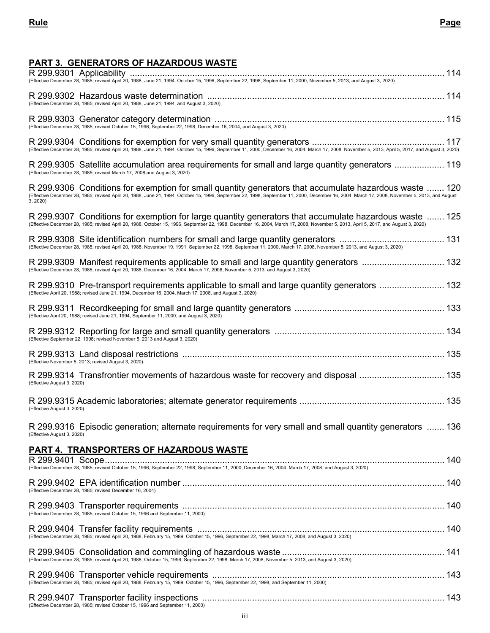# **PART 3. GENERATORS OF HAZARDOUS WASTE**

| (Effective December 28, 1985; revised April 20, 1988, June 21, 1994, October 15, 1996, September 22, 1998, September 11, 2000, November 5, 2013, and August 3, 2020)                                                                                                                          |  |
|-----------------------------------------------------------------------------------------------------------------------------------------------------------------------------------------------------------------------------------------------------------------------------------------------|--|
| (Effective December 28, 1985; revised April 20, 1988, June 21, 1994, and August 3, 2020)                                                                                                                                                                                                      |  |
|                                                                                                                                                                                                                                                                                               |  |
|                                                                                                                                                                                                                                                                                               |  |
| R 299.9305 Satellite accumulation area requirements for small and large quantity generators  119<br>(Effective December 28, 1985; revised March 17, 2008 and August 3, 2020)                                                                                                                  |  |
| R 299.9306 Conditions for exemption for small quantity generators that accumulate hazardous waste  120<br>(Effective December 28, 1985; revised April 20, 1988, June 21, 1994, October 15, 1996, September 22, 1998, Septe<br>3, 2020)                                                        |  |
| R 299.9307 Conditions for exemption for large quantity generators that accumulate hazardous waste  125<br>(Effective December 28, 1985; revised April 20, 1988, October 15, 1996, September 22, 1998, December 16, 2004, March 17, 2008, November 5, 2013, April 5, 2017, and August 3, 2020) |  |
| (Effective December 28, 1985; revised April 20, 1988, November 19, 1991, September 22, 1998, September 11, 2000, March 17, 2008, November 5, 2013, and August 3, 2020)                                                                                                                        |  |
| R 299.9309 Manifest requirements applicable to small and large quantity generators  132<br>(Effective December 28, 1985; revised April 20, 1988, December 16, 2004, March 17, 2008, November 5, 2013, and August 3, 2020)                                                                     |  |
| R 299.9310 Pre-transport requirements applicable to small and large quantity generators  132<br>(Effective April 20, 1988; revised June 21, 1994, December 16, 2004, March 17, 2008, and August 3, 2020)                                                                                      |  |
| (Effective April 20, 1988; revised June 21, 1994, September 11, 2000, and August 3, 2020)                                                                                                                                                                                                     |  |
|                                                                                                                                                                                                                                                                                               |  |
| (Effective November 5, 2013; revised August 3, 2020)                                                                                                                                                                                                                                          |  |
| R 299.9314 Transfrontier movements of hazardous waste for recovery and disposal  135<br>(Effective August 3, 2020)                                                                                                                                                                            |  |
| (Effective August 3, 2020)                                                                                                                                                                                                                                                                    |  |
| R 299.9316 Episodic generation; alternate requirements for very small and small quantity generators  136<br>(Effective August 3, 2020)                                                                                                                                                        |  |
| PART 4. TRANSPORTERS OF HAZARDOUS WASTE                                                                                                                                                                                                                                                       |  |
|                                                                                                                                                                                                                                                                                               |  |
| (Effective December 28, 1985; revised December 16, 2004)                                                                                                                                                                                                                                      |  |
|                                                                                                                                                                                                                                                                                               |  |
|                                                                                                                                                                                                                                                                                               |  |
|                                                                                                                                                                                                                                                                                               |  |
|                                                                                                                                                                                                                                                                                               |  |
| (Effective December 28, 1985; revised October 15, 1996 and September 11, 2000)                                                                                                                                                                                                                |  |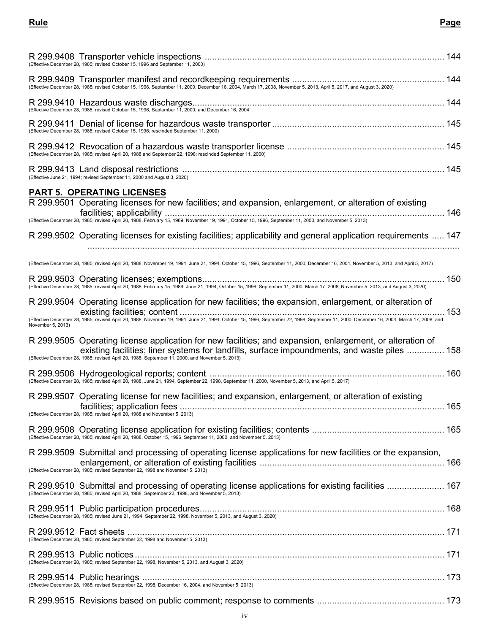## **Rule Page**

| (Effective December 28, 1985; revised October 15, 1996 and September 11, 2000)                                                                                                                                                                                                                               |  |
|--------------------------------------------------------------------------------------------------------------------------------------------------------------------------------------------------------------------------------------------------------------------------------------------------------------|--|
| (Effective December 28, 1985; revised October 15, 1996, September 11, 2000, December 16, 2004, March 17, 2008, November 5, 2013, April 5, 2017, and August 3, 2020)                                                                                                                                          |  |
|                                                                                                                                                                                                                                                                                                              |  |
| (Effective December 28, 1985; revised October 15, 1996; rescinded September 11, 2000)                                                                                                                                                                                                                        |  |
| (Effective December 28, 1985; revised April 20, 1988 and September 22, 1998; rescinded September 11, 2000)                                                                                                                                                                                                   |  |
| (Effective June 21, 1994; revised September 11, 2000 and August 3, 2020)                                                                                                                                                                                                                                     |  |
| <b>PART 5. OPERATING LICENSES</b>                                                                                                                                                                                                                                                                            |  |
| R 299.9501 Operating licenses for new facilities; and expansion, enlargement, or alteration of existing                                                                                                                                                                                                      |  |
|                                                                                                                                                                                                                                                                                                              |  |
| R 299.9502 Operating licenses for existing facilities; applicability and general application requirements  147                                                                                                                                                                                               |  |
| (Effective December 28, 1985; revised April 20, 1988, November 19, 1991, June 21, 1994, October 15, 1996, September 11, 2000, December 16, 2004, November 5, 2013, and April 5, 2017)                                                                                                                        |  |
| (Effective December 28, 1985; revised April 20, 1988, February 15, 1989, June 21, 1994, October 15, 1996, September 11, 2000, March 17, 2008, November 5, 2013, and August 3, 2020)                                                                                                                          |  |
| R 299.9504 Operating license application for new facilities; the expansion, enlargement, or alteration of                                                                                                                                                                                                    |  |
| (Effective December 28, 1985; revised April 20, 1988, November 19, 1991, June 21, 1994, October 15, 1996, September 22, 1998, September 11, 2000, December 16, 2004, March 17, 2008, and<br>November 5, 2013)                                                                                                |  |
| R 299.9505 Operating license application for new facilities; and expansion, enlargement, or alteration of<br>existing facilities; liner systems for landfills, surface impoundments, and waste piles  158<br>(Effective December 28, 1985; revised April 20, 1988, September 11, 2000, and November 5, 2013) |  |
| (Effective December 28, 1985; revised April 20, 1988, June 21, 1994, September 22, 1998, September 11, 2000, November 5, 2013, and April 5, 2017)                                                                                                                                                            |  |
| R 299.9507 Operating license for new facilities; and expansion, enlargement, or alteration of existing<br>(Effective December 28, 1985; revised April 20, 1988 and November 5, 2013)                                                                                                                         |  |
|                                                                                                                                                                                                                                                                                                              |  |
| R 299.9509 Submittal and processing of operating license applications for new facilities or the expansion,                                                                                                                                                                                                   |  |
| (Effective December 28, 1985; revised September 22, 1998 and November 5, 2013)                                                                                                                                                                                                                               |  |
| R 299.9510 Submittal and processing of operating license applications for existing facilities  167<br>(Effective December 28, 1985; revised April 20, 1988, September 22, 1998, and November 5, 2013)                                                                                                        |  |
|                                                                                                                                                                                                                                                                                                              |  |
| (Effective December 28, 1985; revised September 22, 1998 and November 5, 2013)                                                                                                                                                                                                                               |  |
| (Effective December 28, 1985; revised September 22, 1998, November 5, 2013, and August 3, 2020)                                                                                                                                                                                                              |  |
|                                                                                                                                                                                                                                                                                                              |  |

R 299.9515 Revisions based on public comment; response to comments ................................................... 173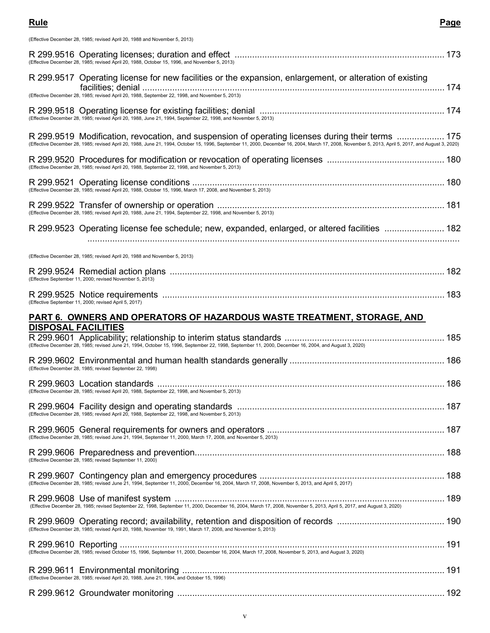(Effective December 28, 1985; revised April 20, 1988 and November 5, 2013)

| (Effective December 28, 1985; revised April 20, 1988, October 15, 1996, and November 5, 2013)                                                                                                                                                                                                           |  |
|---------------------------------------------------------------------------------------------------------------------------------------------------------------------------------------------------------------------------------------------------------------------------------------------------------|--|
| R 299.9517 Operating license for new facilities or the expansion, enlargement, or alteration of existing<br>(Effective December 28, 1985; revised April 20, 1988, September 22, 1998, and November 5, 2013)                                                                                             |  |
| (Effective December 28, 1985; revised April 20, 1988, June 21, 1994, September 22, 1998, and November 5, 2013)                                                                                                                                                                                          |  |
| R 299.9519 Modification, revocation, and suspension of operating licenses during their terms  175<br>(Effective December 28, 1985; revised April 20, 1988, June 21, 1994, October 15, 1996, September 11, 2000, December 16, 2004, March 17, 2008, November 5, 2013, April 5, 2017, and August 3, 2020) |  |
| (Effective December 28, 1985; revised April 20, 1988, September 22, 1998, and November 5, 2013)                                                                                                                                                                                                         |  |
|                                                                                                                                                                                                                                                                                                         |  |
|                                                                                                                                                                                                                                                                                                         |  |
| R 299.9523 Operating license fee schedule; new, expanded, enlarged, or altered facilities  182                                                                                                                                                                                                          |  |
| (Effective December 28, 1985; revised April 20, 1988 and November 5, 2013)                                                                                                                                                                                                                              |  |
| (Effective September 11, 2000; revised November 5, 2013)                                                                                                                                                                                                                                                |  |
| (Effective September 11, 2000; revised April 5, 2017)                                                                                                                                                                                                                                                   |  |
| PART 6. OWNERS AND OPERATORS OF HAZARDOUS WASTE TREATMENT, STORAGE, AND                                                                                                                                                                                                                                 |  |
|                                                                                                                                                                                                                                                                                                         |  |
| <b>DISPOSAL FACILITIES</b><br>(Effective December 28, 1985; revised June 21, 1994, October 15, 1996, September 22, 1998, September 11, 2000, December 16, 2004, and August 3, 2020)                                                                                                                     |  |
| (Effective December 28, 1985; revised September 22, 1998)                                                                                                                                                                                                                                               |  |
| (Effective December 28, 1985; revised April 20, 1988, September 22, 1998, and November 5, 2013)                                                                                                                                                                                                         |  |
| (Effective December 28, 1985; revised April 20, 1988, September 22, 1998, and November 5, 2013)                                                                                                                                                                                                         |  |
| (Effective December 28, 1985; revised June 21, 1994, September 11, 2000, March 17, 2008, and November 5, 2013)                                                                                                                                                                                          |  |
| (Effective December 28, 1985; revised September 11, 2000)                                                                                                                                                                                                                                               |  |
|                                                                                                                                                                                                                                                                                                         |  |
|                                                                                                                                                                                                                                                                                                         |  |
| (Effective December 28, 1985; revised April 20, 1988, November 19, 1991, March 17, 2008, and November 5, 2013)                                                                                                                                                                                          |  |
|                                                                                                                                                                                                                                                                                                         |  |
|                                                                                                                                                                                                                                                                                                         |  |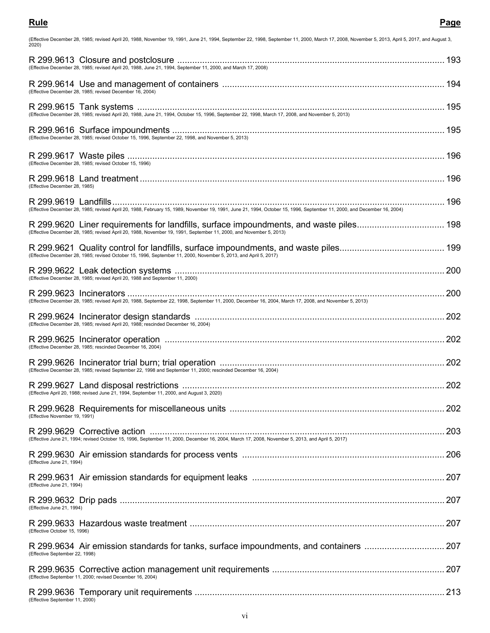| (Effective December 28, 1985; revised April 20, 1988, November 19, 1991, June 21, 1994, September 22, 1998, September 11, 2000, March 17, 2008, November 5, 2013, April 5, 2017, and August 3,<br>2020)      |  |
|--------------------------------------------------------------------------------------------------------------------------------------------------------------------------------------------------------------|--|
| (Effective December 28, 1985; revised April 20, 1988, June 21, 1994, September 11, 2000, and March 17, 2008)                                                                                                 |  |
| (Effective December 28, 1985; revised December 16, 2004)                                                                                                                                                     |  |
|                                                                                                                                                                                                              |  |
| (Effective December 28, 1985; revised October 15, 1996, September 22, 1998, and November 5, 2013)                                                                                                            |  |
| (Effective December 28, 1985; revised October 15, 1996)                                                                                                                                                      |  |
| (Effective December 28, 1985)                                                                                                                                                                                |  |
| (Effective December 28, 1985; revised April 20, 1988, February 15, 1989, November 19, 1991, June 21, 1994, October 15, 1996, September 11, 2000, and December 16, 2004)                                      |  |
| R 299.9620 Liner requirements for landfills, surface impoundments, and waste piles 198<br>(Effective December 28, 1985; revised April 20, 1988, November 19, 1991, September 11, 2000, and November 5, 2013) |  |
| (Effective December 28, 1985; revised October 15, 1996, September 11, 2000, November 5, 2013, and April 5, 2017)                                                                                             |  |
| (Effective December 28, 1985; revised April 20, 1988 and September 11, 2000)                                                                                                                                 |  |
| (Effective December 28, 1985; revised April 20, 1988, September 22, 1998, September 11, 2000, December 16, 2004, March 17, 2008, and November 5, 2013)                                                       |  |
| (Effective December 28, 1985; revised April 20, 1988; rescinded December 16, 2004)                                                                                                                           |  |
| (Effective December 28, 1985; rescinded December 16, 2004)                                                                                                                                                   |  |
| (Effective December 28, 1985; revised September 22, 1998 and September 11, 2000; rescinded December 16, 2004)                                                                                                |  |
| (Effective April 20, 1988; revised June 21, 1994, September 11, 2000, and August 3, 2020)                                                                                                                    |  |
| (Effective November 19, 1991)                                                                                                                                                                                |  |
| (Effective June 21, 1994; revised October 15, 1996, September 11, 2000, December 16, 2004, March 17, 2008, November 5, 2013, and April 5, 2017)                                                              |  |
| (Effective June 21, 1994)                                                                                                                                                                                    |  |
| (Effective June 21, 1994)                                                                                                                                                                                    |  |
| (Effective June 21, 1994)                                                                                                                                                                                    |  |
| (Effective October 15, 1996)                                                                                                                                                                                 |  |
| R 299.9634 Air emission standards for tanks, surface impoundments, and containers  207<br>(Effective September 22, 1998)                                                                                     |  |
| (Effective September 11, 2000; revised December 16, 2004)                                                                                                                                                    |  |

R 299.9636 Temporary unit requirements .................................................................................................... 213 (Effective September 11, 2000)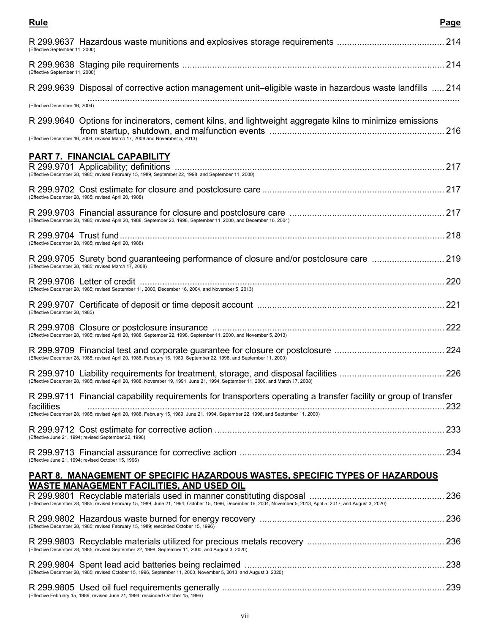### **Rule Page**

| (Effective September 11, 2000)                                                                                                                                                                                        |     |
|-----------------------------------------------------------------------------------------------------------------------------------------------------------------------------------------------------------------------|-----|
| (Effective September 11, 2000)                                                                                                                                                                                        |     |
| R 299.9639 Disposal of corrective action management unit-eligible waste in hazardous waste landfills  214                                                                                                             |     |
| (Effective December 16, 2004)                                                                                                                                                                                         |     |
| R 299.9640 Options for incinerators, cement kilns, and lightweight aggregate kilns to minimize emissions<br>(Effective December 16, 2004; revised March 17, 2008 and November 5, 2013)                                |     |
| <b>PART 7. FINANCIAL CAPABILITY</b>                                                                                                                                                                                   |     |
| (Effective December 28, 1985; revised February 15, 1989, September 22, 1998, and September 11, 2000)                                                                                                                  |     |
| (Effective December 28, 1985; revised April 20, 1988)                                                                                                                                                                 |     |
| (Effective December 28, 1985; revised April 20, 1988, September 22, 1998, September 11, 2000, and December 16, 2004)                                                                                                  |     |
| (Effective December 28, 1985; revised April 20, 1988)                                                                                                                                                                 |     |
| R 299.9705 Surety bond guaranteeing performance of closure and/or postclosure care  219<br>(Effective December 28, 1985; revised March 17, 2008)                                                                      |     |
| (Effective December 28, 1985; revised September 11, 2000, December 16, 2004, and November 5, 2013)                                                                                                                    |     |
| (Effective December 28, 1985)                                                                                                                                                                                         |     |
| (Effective December 28, 1985; revised April 20, 1988, September 22, 1998, September 11, 2000, and November 5, 2013)                                                                                                   |     |
|                                                                                                                                                                                                                       |     |
| (Effective December 28, 1985; revised April 20, 1988, November 19, 1991, June 21, 1994, September 11, 2000, and March 17, 2008)                                                                                       |     |
| R 299.9711 Financial capability requirements for transporters operating a transfer facility or group of transfer<br>facilities                                                                                        | 232 |
| (Effective December 28, 1985; revised April 20, 1988, February 15, 1989, June 21, 1994, September 22, 1998, and September 11, 2000)                                                                                   |     |
| (Effective June 21, 1994; revised September 22, 1998)                                                                                                                                                                 |     |
| (Effective June 21, 1994; revised October 15, 1996)                                                                                                                                                                   |     |
| <b>PART 8. MANAGEMENT OF SPECIFIC HAZARDOUS WASTES, SPECIFIC TYPES OF HAZARDOUS</b>                                                                                                                                   |     |
| <b>WASTE MANAGEMENT FACILITIES, AND USED OIL</b><br>(Effective December 28, 1985; revised February 15, 1989, June 21, 1994, October 15, 1996, December 16, 2004, November 5, 2013, April 5, 2017, and August 3, 2020) |     |
| (Effective December 28, 1985; revised February 15, 1989; rescinded October 15, 1996)                                                                                                                                  |     |
| (Effective December 28, 1985; revised September 22, 1998, September 11, 2000, and August 3, 2020)                                                                                                                     |     |
| (Effective December 28, 1985; revised October 15, 1996, September 11, 2000, November 5, 2013, and August 3, 2020)                                                                                                     |     |
| (Effective February 15, 1989; revised June 21, 1994; rescinded October 15, 1996)                                                                                                                                      |     |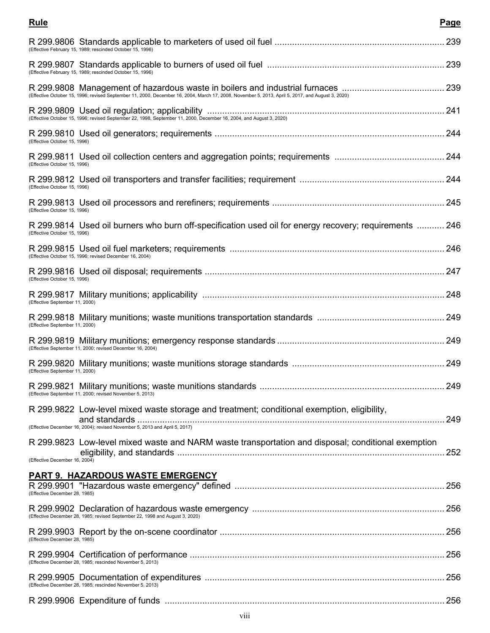| (Effective February 15, 1989; rescinded October 15, 1996)                                                                                        |     |
|--------------------------------------------------------------------------------------------------------------------------------------------------|-----|
| (Effective February 15, 1989; rescinded October 15, 1996)                                                                                        |     |
| (Effective October 15, 1996; revised September 11, 2000, December 16, 2004, March 17, 2008, November 5, 2013, April 5, 2017, and August 3, 2020) |     |
|                                                                                                                                                  |     |
| (Effective October 15, 1996)                                                                                                                     |     |
| (Effective October 15, 1996)                                                                                                                     |     |
| (Effective October 15, 1996)                                                                                                                     |     |
| (Effective October 15, 1996)                                                                                                                     |     |
| R 299.9814 Used oil burners who burn off-specification used oil for energy recovery; requirements  246<br>(Effective October 15, 1996)           |     |
| (Effective October 15, 1996; revised December 16, 2004)                                                                                          |     |
| (Effective October 15, 1996)                                                                                                                     |     |
| (Effective September 11, 2000)                                                                                                                   |     |
| (Effective September 11, 2000)                                                                                                                   |     |
| (Effective September 11, 2000; revised December 16, 2004)                                                                                        |     |
| (Effective September 11, 2000)                                                                                                                   |     |
| (Effective September 11, 2000; revised November 5, 2013)                                                                                         |     |
| R 299.9822 Low-level mixed waste storage and treatment; conditional exemption, eligibility,                                                      | 249 |
|                                                                                                                                                  |     |
| R 299.9823 Low-level mixed waste and NARM waste transportation and disposal; conditional exemption<br>(Effective December 16, 2004)              | 252 |
|                                                                                                                                                  |     |
| <b>PART 9. HAZARDOUS WASTE EMERGENCY</b><br>(Effective December 28, 1985)                                                                        |     |
| (Effective December 28, 1985; revised September 22, 1998 and August 3, 2020)                                                                     |     |
| (Effective December 28, 1985)                                                                                                                    |     |
| (Effective December 28, 1985; rescinded November 5, 2013)                                                                                        |     |
| (Effective December 28, 1985; rescinded November 5, 2013)                                                                                        |     |
|                                                                                                                                                  |     |

**Rule Page**